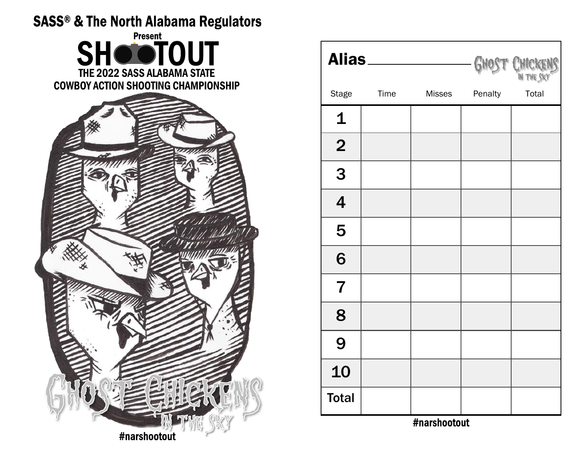## **SASS® & The North Alabama Regulators**



| Alias <sub>—</sub>      |             |        |         | GHOST CHICKENS |
|-------------------------|-------------|--------|---------|----------------|
| <b>Stage</b>            | <b>Time</b> | Misses | Penalty | Total          |
| $\mathbf 1$             |             |        |         |                |
| $\overline{2}$          |             |        |         |                |
| 3                       |             |        |         |                |
| $\overline{\mathbf{4}}$ |             |        |         |                |
| 5                       |             |        |         |                |
| 6                       |             |        |         |                |
| $\overline{7}$          |             |        |         |                |
| 8                       |             |        |         |                |
| 9                       |             |        |         |                |
| 10                      |             |        |         |                |
| <b>Total</b>            |             |        |         |                |

#narshootout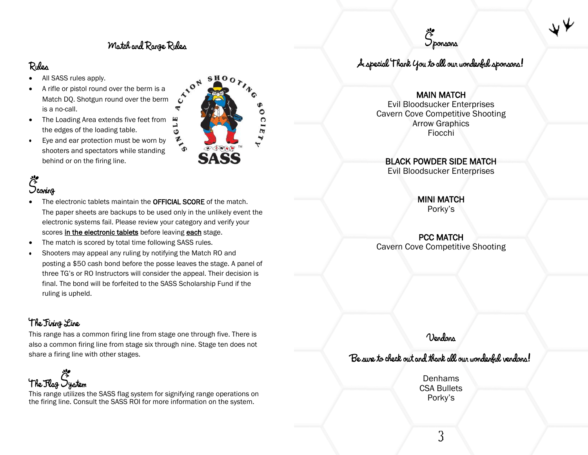#### Motch and Range Rules

ᢎ

#### Rules

- All SASS rules apply.
- A rifle or pistol round over the berm is a Match DQ. Shotgun round over the berm is a no-call.
- GLE The Loading Area extends five feet from the edges of the loading table.
- Eye and ear protection must be worn by  $\bullet$ shooters and spectators while standing behind or on the firing line.

# Deoning

- The electronic tablets maintain the **OFFICIAL SCORE** of the match. The paper sheets are backups to be used only in the unlikely event the electronic systems fail. Please review your category and verify your scores in the electronic tablets before leaving each stage.
- The match is scored by total time following SASS rules.
- Shooters may appeal any ruling by notifying the Match RO and posting a \$50 cash bond before the posse leaves the stage. A panel of three TG's or RO Instructors will consider the appeal. Their decision is final. The bond will be forfeited to the SASS Scholarship Fund if the ruling is upheld.

#### The Firing Line

This range has a common firing line from stage one through five. There is also a common firing line from stage six through nine. Stage ten does not share a firing line with other stages.



This range utilizes the SASS flag system for signifying range operations on the firing line. Consult the SASS ROI for more information on the system.





A special 'Thank you to all our wonderful sponsons!

#### MAIN MATCH

Evil Bloodsucker Enterprises Cavern Cove Competitive Shooting Arrow Graphics Fiocchi

#### BLACK POWDER SIDE MATCH

Evil Bloodsucker Enterprises

MINI MATCH Porky's

PCC MATCH Cavern Cove Competitive Shooting

Vendons

#### Be sure to check out and thank all our wonderful vendons!

Denhams CSA Bullets Porky's

3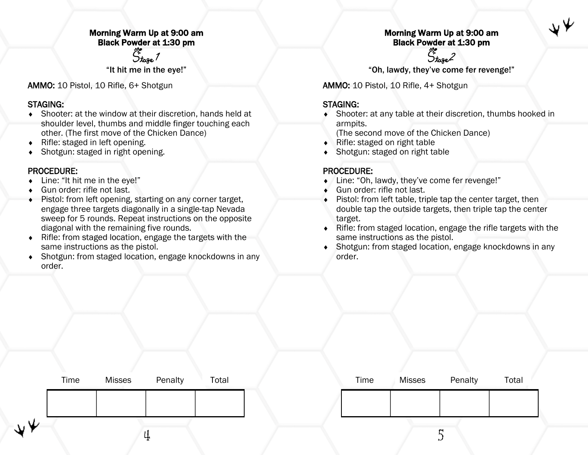#### Morning Warm Up at 9:00 am Black Powder at 1:30 pm

Stage 1

"It hit me in the eye!"

AMMO: 10 Pistol, 10 Rifle, 6+ Shotgun

#### STAGING:

- Shooter: at the window at their discretion, hands held at shoulder level, thumbs and middle finger touching each other. (The first move of the Chicken Dance)
- $\bullet$  Rifle: staged in left opening.
- Shotgun: staged in right opening.

#### PROCEDURE:

- Line: "It hit me in the eye!"
- Gun order: rifle not last.
- Pistol: from left opening, starting on any corner target, engage three targets diagonally in a single-tap Nevada sweep for 5 rounds. Repeat instructions on the opposite diagonal with the remaining five rounds.
- Rifle: from staged location, engage the targets with the same instructions as the pistol.
- Shotgun: from staged location, engage knockdowns in any order.

#### Morning Warm Up at 9:00 am Black Powder at 1:30 pm

Stage 2 "Oh, lawdy, they've come fer revenge!"

AMMO: 10 Pistol, 10 Rifle, 4+ Shotgun

#### STAGING:

 Shooter: at any table at their discretion, thumbs hooked in armpits.

(The second move of the Chicken Dance)

- $\bullet$  Rifle: staged on right table
- Shotgun: staged on right table

- Line: "Oh, lawdy, they've come fer revenge!"
- ◆ Gun order: rifle not last.
- ◆ Pistol: from left table, triple tap the center target, then double tap the outside targets, then triple tap the center target.
- Rifle: from staged location, engage the rifle targets with the same instructions as the pistol.
- Shotgun: from staged location, engage knockdowns in any order.

|    | Time | <b>Misses</b> | Penalty | Total |  | Time | <b>Misses</b> | Penalty | Total |  |
|----|------|---------------|---------|-------|--|------|---------------|---------|-------|--|
|    |      |               |         |       |  |      |               |         |       |  |
| ◡⊁ |      |               | ⊷       |       |  |      |               | ∼<br>ັ  |       |  |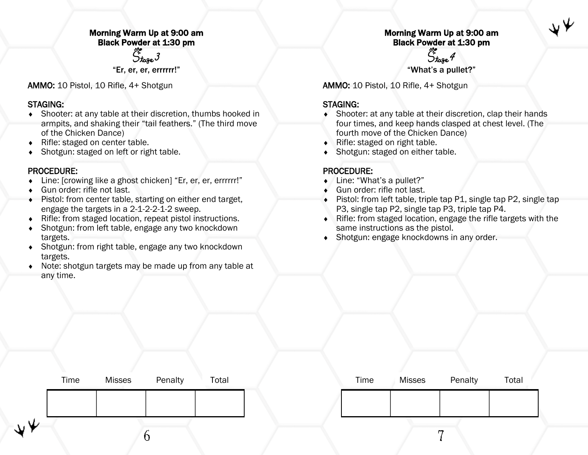#### Morning Warm Up at 9:00 am Black Powder at 1:30 pm

Ötoge 3

"Er, er, er, errrrrr!"

AMMO: 10 Pistol, 10 Rifle, 4+ Shotgun

#### STAGING:

- Shooter: at any table at their discretion, thumbs hooked in armpits, and shaking their "tail feathers." (The third move of the Chicken Dance)
- ◆ Rifle: staged on center table.
- Shotgun: staged on left or right table.

#### PROCEDURE:

- Line: [crowing like a ghost chicken] "Er, er, er, errrrrr!"
- Gun order: rifle not last.
- Pistol: from center table, starting on either end target, engage the targets in a 2-1-2-2-1-2 sweep.
- Rifle: from staged location, repeat pistol instructions.
- Shotgun: from left table, engage any two knockdown targets.
- Shotgun: from right table, engage any two knockdown targets.
- Note: shotgun targets may be made up from any table at any time.

#### Morning Warm Up at 9:00 am Black Powder at 1:30 pm

Stage 4 "What's a pullet?"

AMMO: 10 Pistol, 10 Rifle, 4+ Shotgun

#### STAGING:

- Shooter: at any table at their discretion, clap their hands four times, and keep hands clasped at chest level. (The fourth move of the Chicken Dance)
- $\bullet$  Rifle: staged on right table.
- Shotgun: staged on either table.

- ◆ Line: "What's a pullet?"
- ◆ Gun order: rifle not last.
- ◆ Pistol: from left table, triple tap P1, single tap P2, single tap P3, single tap P2, single tap P3, triple tap P4.
- Rifle: from staged location, engage the rifle targets with the same instructions as the pistol.
- Shotgun: engage knockdowns in any order.

| Time | <b>Misses</b> | Penalty | Total |  | Time | <b>Misses</b> | Penalty | Total |
|------|---------------|---------|-------|--|------|---------------|---------|-------|
|      |               |         |       |  |      |               |         |       |
|      |               |         |       |  |      |               | ∼       |       |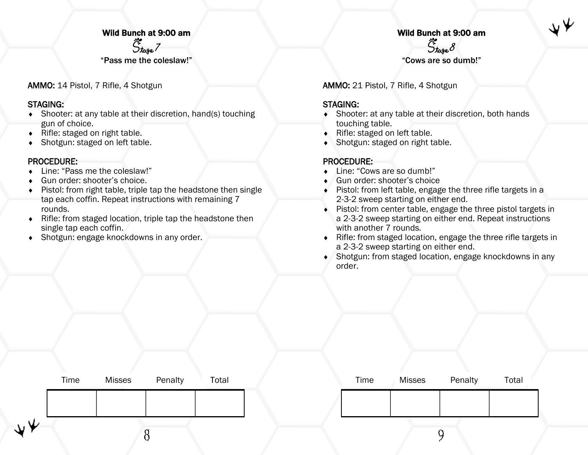#### Wild Bunch at 9:00 am

 $\ddot{\mathcal{S}}_{\text{toge}}$  7

"Pass me the coleslaw!"

AMMO: 14 Pistol, 7 Rifle, 4 Shotgun

#### STAGING:

- Shooter: at any table at their discretion, hand(s) touching gun of choice.
- $\bullet$  Rifle: staged on right table.
- Shotgun: staged on left table.

#### PROCEDURE:

- Line: "Pass me the coleslaw!"
- Gun order: shooter's choice.
- Pistol: from right table, triple tap the headstone then single tap each coffin. Repeat instructions with remaining 7 rounds.
- Rifle: from staged location, triple tap the headstone then single tap each coffin.
- Shotgun: engage knockdowns in any order.

#### Wild Bunch at 9:00 am  $\ddot{\mathcal{S}}_{\text{toge}}$  8

"Cows are so dumb!"

AMMO: 21 Pistol, 7 Rifle, 4 Shotgun

#### STAGING:

- Shooter: at any table at their discretion, both hands touching table.
- ◆ Rifle: staged on left table.
- Shotgun: staged on right table.

- ◆ Line: "Cows are so dumb!"
- ◆ Gun order: shooter's choice
- ◆ Pistol: from left table, engage the three rifle targets in a 2-3-2 sweep starting on either end.
- Pistol: from center table, engage the three pistol targets in a 2-3-2 sweep starting on either end. Repeat instructions with another 7 rounds.
- Rifle: from staged location, engage the three rifle targets in a 2-3-2 sweep starting on either end.
- Shotgun: from staged location, engage knockdowns in any order.

|    | Time | <b>Misses</b> | Penalty | Total |  | Time | <b>Misses</b> | Penalty | Total |
|----|------|---------------|---------|-------|--|------|---------------|---------|-------|
|    |      |               |         |       |  |      |               |         |       |
| νΨ |      |               |         |       |  |      |               |         |       |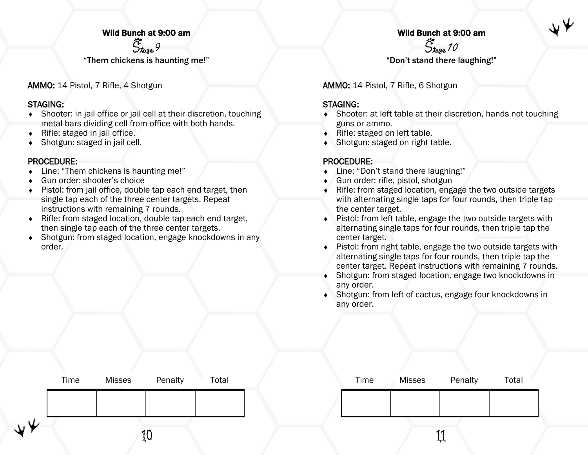#### Wild Bunch at 9:00 am

 $\ddot{\mathcal{S}}_{\text{toge}}$  9

"Them chickens is haunting me!"

AMMO: 14 Pistol, 7 Rifle, 4 Shotgun

#### STAGING:

- Shooter: in jail office or jail cell at their discretion, touching metal bars dividing cell from office with both hands.
- Rifle: staged in jail office.
- Shotgun: staged in jail cell.

#### PROCEDURE:

- Line: "Them chickens is haunting me!"
- Gun order: shooter's choice
- Pistol: from jail office, double tap each end target, then single tap each of the three center targets. Repeat instructions with remaining 7 rounds.
- ◆ Rifle: from staged location, double tap each end target, then single tap each of the three center targets.
- Shotgun: from staged location, engage knockdowns in any order.

# Wild Bunch at 9:00 am<br>  $\ddot{\zeta}^{\prime}_{\text{tage}}$  70

"Don't stand there laughing!"

AMMO: 14 Pistol, 7 Rifle, 6 Shotgun

#### STAGING:

- Shooter: at left table at their discretion, hands not touching guns or ammo.
- ◆ Rifle: staged on left table.
- Shotgun: staged on right table.

- Line: "Don't stand there laughing!"
- Gun order: rifle, pistol, shotgun
- Rifle: from staged location, engage the two outside targets with alternating single taps for four rounds, then triple tap the center target.
- Pistol: from left table, engage the two outside targets with alternating single taps for four rounds, then triple tap the center target.
- Pistol: from right table, engage the two outside targets with alternating single taps for four rounds, then triple tap the center target. Repeat instructions with remaining 7 rounds.
- Shotgun: from staged location, engage two knockdowns in any order.
- Shotgun: from left of cactus, engage four knockdowns in any order.

|    | Time | <b>Misses</b> | Penalty | Total |  | Time | Misses | Penalty | Total |
|----|------|---------------|---------|-------|--|------|--------|---------|-------|
|    |      |               |         |       |  |      |        |         |       |
| ∴Ψ |      |               |         |       |  |      |        |         |       |
|    |      |               | ŢÄ      |       |  |      |        | רי      |       |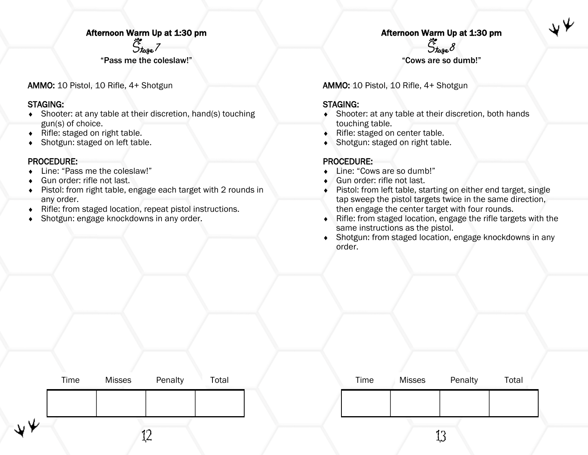#### Afternoon Warm Up at 1:30 pm

 $\ddot{S}_{\text{toge}}$  7

"Pass me the coleslaw!"

AMMO: 10 Pistol, 10 Rifle, 4+ Shotgun

#### STAGING:

- Shooter: at any table at their discretion, hand(s) touching gun(s) of choice.
- $\bullet$  Rifle: staged on right table.
- Shotgun: staged on left table.

#### PROCEDURE:

- Line: "Pass me the coleslaw!"
- Gun order: rifle not last.
- Pistol: from right table, engage each target with 2 rounds in any order.
- Rifle: from staged location, repeat pistol instructions.
- Shotgun: engage knockdowns in any order.

#### Afternoon Warm Up at 1:30 pm  $\ddot{S}_{\text{toge}} \mathcal{S}$

"Cows are so dumb!"

AMMO: 10 Pistol, 10 Rifle, 4+ Shotgun

#### STAGING:

- Shooter: at any table at their discretion, both hands touching table.
- ◆ Rifle: staged on center table.
- Shotgun: staged on right table.

- ◆ Line: "Cows are so dumb!"
- ◆ Gun order: rifle not last.
- Pistol: from left table, starting on either end target, single tap sweep the pistol targets twice in the same direction, then engage the center target with four rounds.
- Rifle: from staged location, engage the rifle targets with the same instructions as the pistol.
- Shotgun: from staged location, engage knockdowns in any order.

|                                   | Time | <b>Misses</b> | Penalty | Total | Time | <b>Misses</b> | Penalty    | Total |
|-----------------------------------|------|---------------|---------|-------|------|---------------|------------|-------|
|                                   |      |               |         |       |      |               |            |       |
| $\bm{\mathsf{v}} \bm{\mathsf{v}}$ |      |               | ∸∱      |       |      |               | ಗೆ ಗ<br>ىب |       |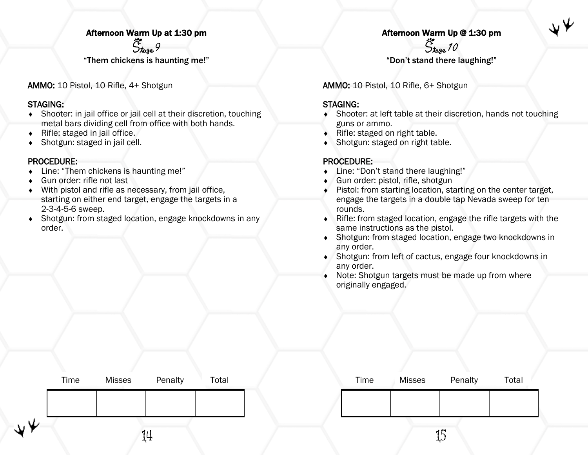#### Afternoon Warm Up at 1:30 pm

 $\ddot{S}_{\text{toge}}$  9

"Them chickens is haunting me!"

AMMO: 10 Pistol, 10 Rifle, 4+ Shotgun

#### STAGING:

- Shooter: in jail office or jail cell at their discretion, touching metal bars dividing cell from office with both hands.
- Rifle: staged in jail office.
- Shotgun: staged in jail cell.

#### PROCEDURE:

- Line: "Them chickens is haunting me!"
- Gun order: rifle not last
- With pistol and rifle as necessary, from jail office, starting on either end target, engage the targets in a 2-3-4-5-6 sweep.
- Shotgun: from staged location, engage knockdowns in any order.

#### Afternoon Warm Up @ 1:30 pm  $\ddot{S}_{\text{tage}}$  10

"Don't stand there laughing!"

AMMO: 10 Pistol, 10 Rifle, 6+ Shotgun

#### STAGING:

- Shooter: at left table at their discretion, hands not touching guns or ammo.
- Rifle: staged on right table.
- Shotgun: staged on right table.

- Line: "Don't stand there laughing!"
- Gun order: pistol, rifle, shotgun
- Pistol: from starting location, starting on the center target, engage the targets in a double tap Nevada sweep for ten rounds.
- Rifle: from staged location, engage the rifle targets with the same instructions as the pistol.
- Shotgun: from staged location, engage two knockdowns in any order.
- Shotgun: from left of cactus, engage four knockdowns in any order.
- Note: Shotgun targets must be made up from where originally engaged.

|    | Time | Misses | Penalty | Total | Time | Misses | Penalty    | Total |
|----|------|--------|---------|-------|------|--------|------------|-------|
|    |      |        |         |       |      |        |            |       |
| ⊮ن |      |        | 14      |       |      |        | سم بر<br>₩ |       |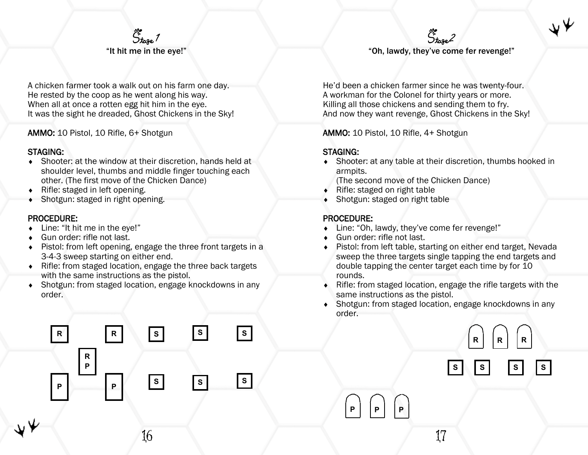### $\ddot{S}_{\text{toge}}$  / "It hit me in the eye!"

A chicken farmer took a walk out on his farm one day. He rested by the coop as he went along his way. When all at once a rotten egg hit him in the eye. It was the sight he dreaded, Ghost Chickens in the Sky!

AMMO: 10 Pistol, 10 Rifle, 6+ Shotgun

#### STAGING:

- Shooter: at the window at their discretion, hands held at shoulder level, thumbs and middle finger touching each other. (The first move of the Chicken Dance)
- ◆ Rifle: staged in left opening.
- Shotgun: staged in right opening.

#### PROCEDURE:

◆ Line: "It hit me in the eye!"

**P P**

**R P**

- Gun order: rifle not last.
- Pistol: from left opening, engage the three front targets in a 3-4-3 sweep starting on either end.
- Rifle: from staged location, engage the three back targets with the same instructions as the pistol.
- Shotgun: from staged location, engage knockdowns in any order.

**R R S**

**S**

**S S S**

**S**

5<br>Stoge 2 "Oh, lawdy, they've come fer revenge!"

He'd been a chicken farmer since he was twenty-four. A workman for the Colonel for thirty years or more. Killing all those chickens and sending them to fry. And now they want revenge, Ghost Chickens in the Sky!

AMMO: 10 Pistol, 10 Rifle, 4+ Shotgun

#### STAGING:

- Shooter: at any table at their discretion, thumbs hooked in armpits.
	- (The second move of the Chicken Dance)
- $\bullet$  Rifle: staged on right table
- Shotgun: staged on right table

#### PROCEDURE:

- ◆ Line: "Oh, lawdy, they've come fer revenge!"
- ◆ Gun order: rifle not last.

**P P P**

- Pistol: from left table, starting on either end target, Nevada sweep the three targets single tapping the end targets and double tapping the center target each time by for 10 rounds.
- Rifle: from staged location, engage the rifle targets with the same instructions as the pistol.
- Shotgun: from staged location, engage knockdowns in any order.

**R R R**

**S S S S**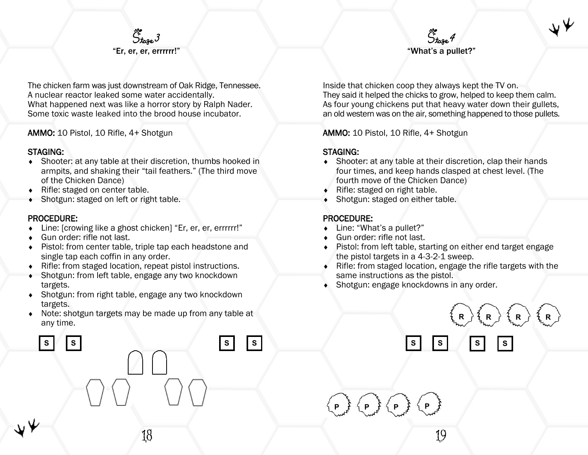

The chicken farm was just downstream of Oak Ridge, Tennessee. A nuclear reactor leaked some water accidentally. What happened next was like a horror story by Ralph Nader. Some toxic waste leaked into the brood house incubator.

AMMO: 10 Pistol, 10 Rifle, 4+ Shotgun

#### STAGING:

- Shooter: at any table at their discretion, thumbs hooked in armpits, and shaking their "tail feathers." (The third move of the Chicken Dance)
- ◆ Rifle: staged on center table.
- Shotgun: staged on left or right table.

#### PROCEDURE:

- Line: [crowing like a ghost chicken] "Er, er, er, errrrrr!"
- Gun order: rifle not last.
- Pistol: from center table, triple tap each headstone and single tap each coffin in any order.
- Rifle: from staged location, repeat pistol instructions.
- Shotgun: from left table, engage any two knockdown targets.
- Shotgun: from right table, engage any two knockdown targets.
- Note: shotgun targets may be made up from any table at any time.

**S S S S**

 $\ddot{S}$ toge  $4$ "What's a pullet?"

Inside that chicken coop they always kept the TV on. They said it helped the chicks to grow, helped to keep them calm. As four young chickens put that heavy water down their gullets, an old western was on the air, something happened to those pullets.

AMMO: 10 Pistol, 10 Rifle, 4+ Shotgun

#### STAGING:

- Shooter: at any table at their discretion, clap their hands four times, and keep hands clasped at chest level. (The fourth move of the Chicken Dance)
- $\bullet$  Rifle: staged on right table.
- Shotgun: staged on either table.

#### PROCEDURE:

- ◆ Line: "What's a pullet?"
- ◆ Gun order: rifle not last.

**P P**

**P**

- Pistol: from left table, starting on either end target engage the pistol targets in a 4-3-2-1 sweep.
- Rifle: from staged location, engage the rifle targets with the same instructions as the pistol.

**S S S S**

Shotgun: engage knockdowns in any order.



19

**P**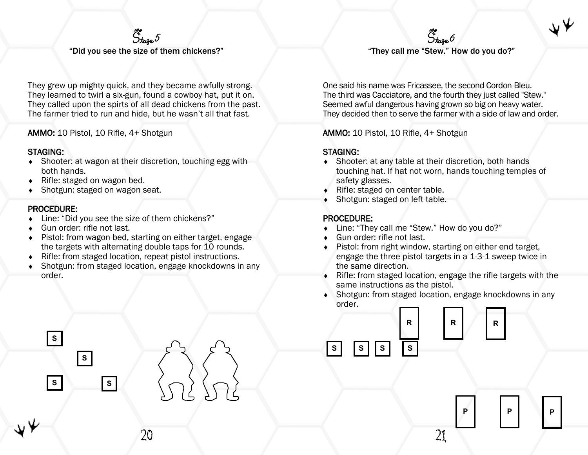

"Did you see the size of them chickens?"

They grew up mighty quick, and they became awfully strong. They learned to twirl a six-gun, found a cowboy hat, put it on. They called upon the spirts of all dead chickens from the past. The farmer tried to run and hide, but he wasn't all that fast.

AMMO: 10 Pistol, 10 Rifle, 4+ Shotgun

#### STAGING:

- Shooter: at wagon at their discretion, touching egg with both hands.
- ◆ Rifle: staged on wagon bed.
- Shotgun: staged on wagon seat.

#### PROCEDURE:

◆ Line: "Did you see the size of them chickens?"

**S**

**S**

**S**

**S**

- Gun order: rifle not last.
- Pistol: from wagon bed, starting on either target, engage the targets with alternating double taps for 10 rounds.
- Rifle: from staged location, repeat pistol instructions.
- Shotgun: from staged location, engage knockdowns in any order.

20

"They call me "Stew." How do you do?"

 $\ddot{S}_{\text{tage}}$ 6

One said his name was Fricassee, the second Cordon Bleu. The third was Cacciatore, and the fourth they just called "Stew." Seemed awful dangerous having grown so big on heavy water. They decided then to serve the farmer with a side of law and order.

AMMO: 10 Pistol, 10 Rifle, 4+ Shotgun

#### STAGING:

- Shooter: at any table at their discretion, both hands touching hat. If hat not worn, hands touching temples of safety glasses.
- ◆ Rifle: staged on center table.
- Shotgun: staged on left table.

#### PROCEDURE:

- ◆ Line: "They call me "Stew." How do you do?"
- ◆ Gun order: rifle not last.
- Pistol: from right window, starting on either end target, engage the three pistol targets in a 1-3-1 sweep twice in the same direction.
- Rifle: from staged location, engage the rifle targets with the same instructions as the pistol.
- Shotgun: from staged location, engage knockdowns in any order.



**P**

21

**P**

**P**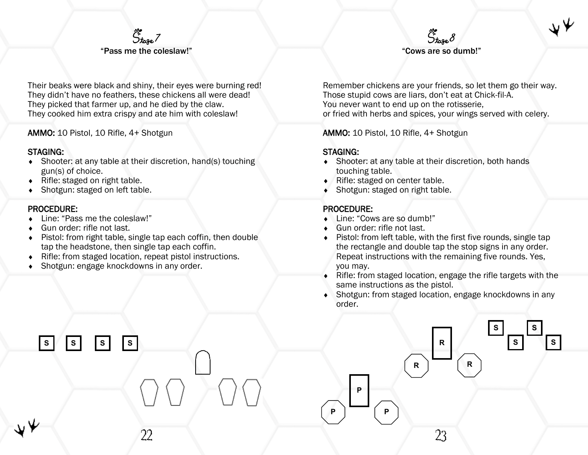#### $\ddot{S}_{\text{base}}$ 7 "Pass me the coleslaw!"

Their beaks were black and shiny, their eyes were burning red! They didn't have no feathers, these chickens all were dead! They picked that farmer up, and he died by the claw. They cooked him extra crispy and ate him with coleslaw!

AMMO: 10 Pistol, 10 Rifle, 4+ Shotgun

#### STAGING:

- Shooter: at any table at their discretion, hand(s) touching gun(s) of choice.
- ◆ Rifle: staged on right table.
- Shotgun: staged on left table.

#### PROCEDURE:

◆ Line: "Pass me the coleslaw!"

**S S S S**

- Gun order: rifle not last.
- Pistol: from right table, single tap each coffin, then double tap the headstone, then single tap each coffin.

22

- Rifle: from staged location, repeat pistol instructions.
- Shotgun: engage knockdowns in any order.

Remember chickens are your friends, so let them go their way. Those stupid cows are liars, don't eat at Chick-fil-A. You never want to end up on the rotisserie, or fried with herbs and spices, your wings served with celery.

"Cows are so dumb!"

 $\ddot{S}_{\text{tage}}$ 8

AMMO: 10 Pistol, 10 Rifle, 4+ Shotgun

#### STAGING:

- Shooter: at any table at their discretion, both hands touching table.
- ◆ Rifle: staged on center table.
- Shotgun: staged on right table.

- ◆ Line: "Cows are so dumb!"
- Gun order: rifle not last.
- Pistol: from left table, with the first five rounds, single tap the rectangle and double tap the stop signs in any order. Repeat instructions with the remaining five rounds. Yes, you may.
- Rifle: from staged location, engage the rifle targets with the same instructions as the pistol.
- Shotgun: from staged location, engage knockdowns in any order.

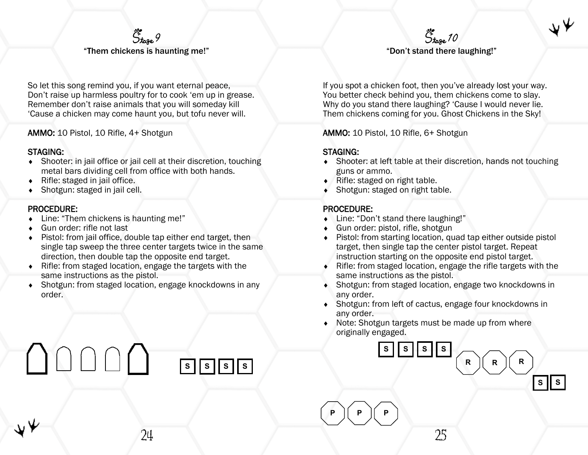

So let this song remind you, if you want eternal peace, Don't raise up harmless poultry for to cook 'em up in grease. Remember don't raise animals that you will someday kill 'Cause a chicken may come haunt you, but tofu never will.

AMMO: 10 Pistol, 10 Rifle, 4+ Shotgun

#### STAGING:

- Shooter: in jail office or jail cell at their discretion, touching metal bars dividing cell from office with both hands.
- $\bullet$  Rifle: staged in jail office.
- Shotgun: staged in jail cell.

#### PROCEDURE:

- ◆ Line: "Them chickens is haunting me!"
- Gun order: rifle not last
- Pistol: from jail office, double tap either end target, then single tap sweep the three center targets twice in the same direction, then double tap the opposite end target.
- Rifle: from staged location, engage the targets with the same instructions as the pistol.
- Shotgun: from staged location, engage knockdowns in any order.

# $S$   $\vert S \vert S \vert S$

 $\ddot{S}_{\text{base}}$ 10 "Don't stand there laughing!"

If you spot a chicken foot, then you've already lost your way. You better check behind you, them chickens come to slay. Why do you stand there laughing? 'Cause I would never lie. Them chickens coming for you. Ghost Chickens in the Sky!

AMMO: 10 Pistol, 10 Rifle, 6+ Shotgun

#### STAGING:

- Shooter: at left table at their discretion, hands not touching guns or ammo.
- ◆ Rifle: staged on right table.
- Shotgun: staged on right table.

#### PROCEDURE:

- ◆ Line: "Don't stand there laughing!"
- Gun order: pistol, rifle, shotgun
- ◆ Pistol: from starting location, quad tap either outside pistol target, then single tap the center pistol target. Repeat instruction starting on the opposite end pistol target.
- Rifle: from staged location, engage the rifle targets with the same instructions as the pistol.
- Shotgun: from staged location, engage two knockdowns in any order.
- Shotgun: from left of cactus, engage four knockdowns in any order.
- Note: Shotgun targets must be made up from where originally engaged.



**S S**